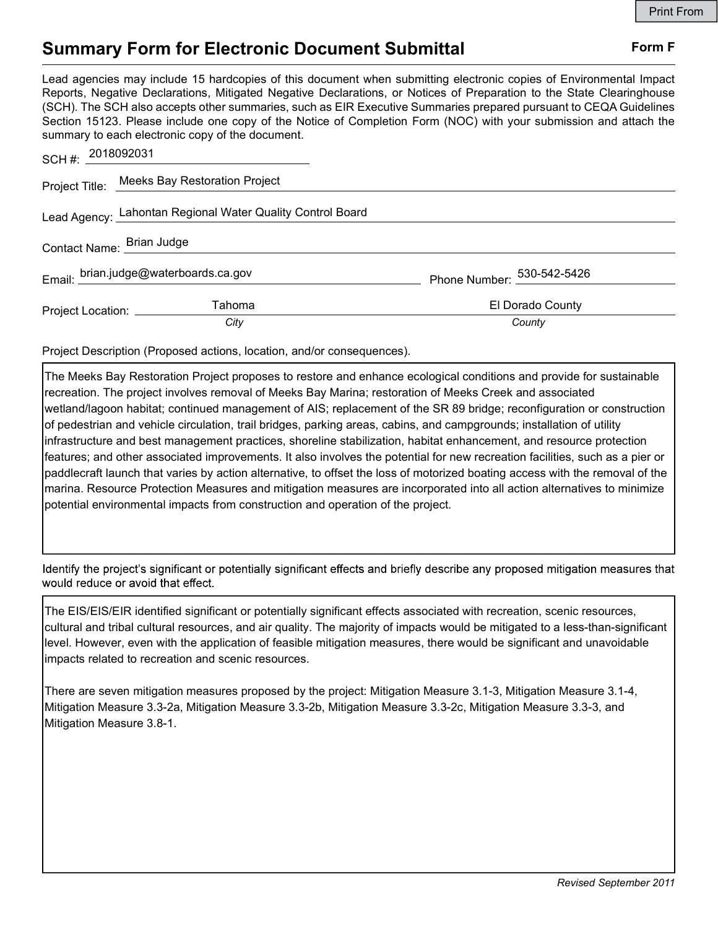## Summary Form for Electronic Document Submittal Form F

Lead agencies may include 15 hardcopies of this document when submitting electronic copies of Environmental Impact Reports, Negative Declarations, Mitigated Negative Declarations, or Notices of Preparation to the State Clearinghouse (SCH). The SCH also accepts other summaries, such as EIR Executive Summaries prepared pursuant to CEQA Guidelines Section 15123. Please include one copy of the Notice of Completion Form (NOC) with your submission and attach the summary to each electronic copy of the document.

| SCH #: $2018092031$                                        |                                              |                                        |
|------------------------------------------------------------|----------------------------------------------|----------------------------------------|
|                                                            | Project Title: Meeks Bay Restoration Project |                                        |
| Lead Agency: Lahontan Regional Water Quality Control Board |                                              |                                        |
| Contact Name: Brian Judge                                  |                                              |                                        |
| Email: brian.judge@waterboards.ca.gov                      |                                              | Phone Number: $\frac{530-542-5426}{2}$ |
| Project Location: __________                               | Tahoma                                       | El Dorado County                       |
|                                                            | City                                         | County                                 |

Project Description (Proposed actions, location, and/or consequences).

The Meeks Bay Restoration Project proposes to restore and enhance ecological conditions and provide for sustainable recreation. The project involves removal of Meeks Bay Marina; restoration of Meeks Creek and associated wetland/lagoon habitat; continued management of AIS; replacement of the SR 89 bridge; reconfiguration or construction of pedestrian and vehicle circulation, trail bridges, parking areas, cabins, and campgrounds; installation of utility infrastructure and best management practices, shoreline stabilization, habitat enhancement, and resource protection features; and other associated improvements. It also involves the potential for new recreation facilities, such as a pier or paddlecraft launch that varies by action alternative, to offset the loss of motorized boating access with the removal of the marina. Resource Protection Measures and mitigation measures are incorporated into all action alternatives to minimize potential environmental impacts from construction and operation of the project.

Identify the project's significant or potentially significant effects and briefly describe any proposed mitigation measures that would reduce or avoid that effect.

The EIS/EIS/EIR identified significant or potentially significant effects associated with recreation, scenic resources, cultural and tribal cultural resources, and air quality. The majority of impacts would be mitigated to a less-than-significant level. However, even with the application of feasible mitigation measures, there would be significant and unavoidable impacts related to recreation and scenic resources.

There are seven mitigation measures proposed by the project: Mitigation Measure 3.1-3, Mitigation Measure 3.1-4, Mitigation Measure 3.3-2a, Mitigation Measure 3.3-2b, Mitigation Measure 3.3-2c, Mitigation Measure 3.3-3, and Mitigation Measure 3.8-1.